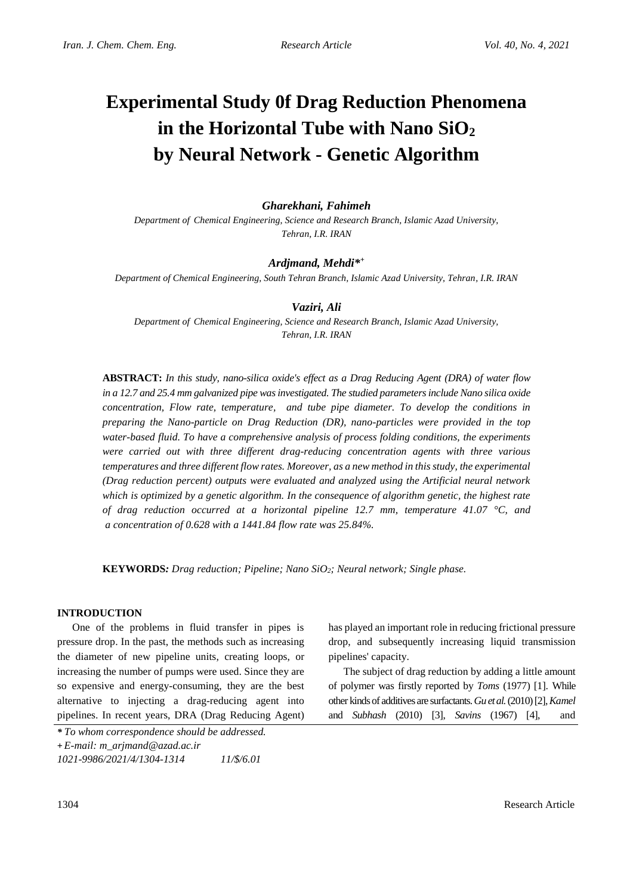# **Experimental Study 0f Drag Reduction Phenomena in the Horizontal Tube with Nano SiO<sup>2</sup> by Neural Network - Genetic Algorithm**

## *Gharekhani, Fahimeh*

*Department of Chemical Engineering, Science and Research Branch, Islamic Azad University, Tehran, I.R. IRAN*

## *Ardjmand, Mehdi\* +*

*Department of Chemical Engineering, South Tehran Branch, Islamic Azad University, Tehran, I.R. IRAN*

#### *Vaziri, Ali*

*Department of Chemical Engineering, Science and Research Branch, Islamic Azad University, Tehran, I.R. IRAN*

**ABSTRACT:** *In this study, nano-silica oxide's effect as a Drag Reducing Agent (DRA) of water flow in a 12.7 and 25.4 mm galvanized pipe was investigated. The studied parameters include Nano silica oxide concentration, Flow rate, temperature, and tube pipe diameter. To develop the conditions in preparing the Nano-particle on Drag Reduction (DR), nano-particles were provided in the top water-based fluid. To have a comprehensive analysis of process folding conditions, the experiments were carried out with three different drag-reducing concentration agents with three various temperatures and three different flow rates. Moreover, as a new method in this study, the experimental (Drag reduction percent) outputs were evaluated and analyzed using the Artificial neural network which is optimized by a genetic algorithm. In the consequence of algorithm genetic, the highest rate of drag reduction occurred at a horizontal pipeline 12.7 mm, temperature 41.07 °C, and a concentration of 0.628 with a 1441.84 flow rate was 25.84%.*

**KEYWORDS***: Drag reduction; Pipeline; Nano SiO2; Neural network; Single phase.*

## **INTRODUCTION**

One of the problems in fluid transfer in pipes is pressure drop. In the past, the methods such as increasing the diameter of new pipeline units, creating loops, or increasing the number of pumps were used. Since they are so expensive and energy-consuming, they are the best alternative to injecting a drag-reducing agent into pipelines. In recent years, DRA (Drag Reducing Agent)

has played an important role in reducing frictional pressure drop, and subsequently increasing liquid transmission pipelines' capacity.

The subject of drag reduction by adding a little amount of polymer was firstly reported by *Toms* (1977) [\[1\]](#page-8-0). While other kinds of additives are surfactants. *Gu et al.* (2010) [\[2\]](#page-8-1), *Kamel* and *Subhash* (2010) [\[3\]](#page-9-0), *Savins* (1967) [\[4\]](#page-9-1), and

*<sup>\*</sup> To whom correspondence should be addressed.* **+** *E-mail: m\_arjmand@azad.ac.ir 1021-9986/2021/4/1304-1314 11/\$/6.01*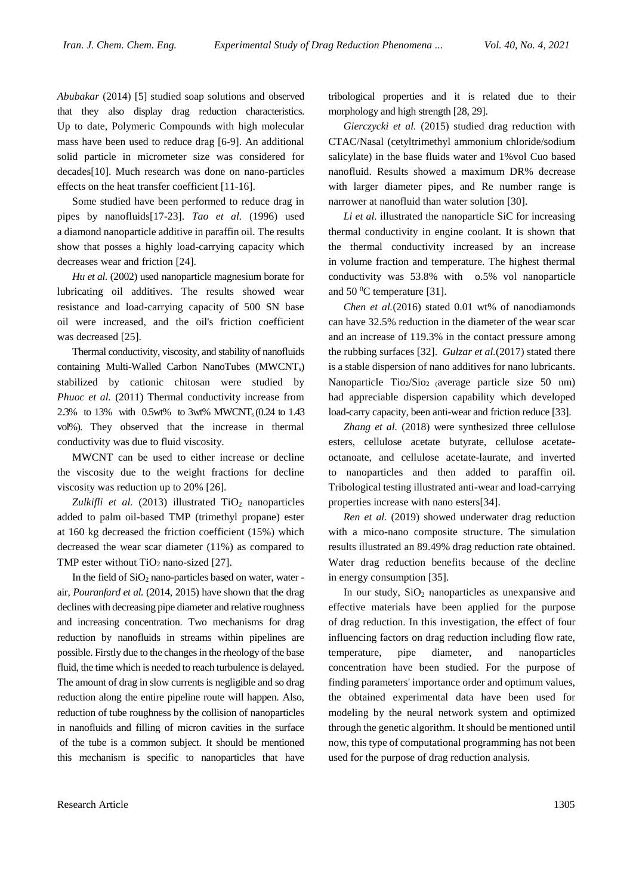*Abubakar* (2014) [\[5\]](#page-8-2) studied soap solutions and observed that they also display drag reduction characteristics. Up to date, Polymeric Compounds with high molecular mass have been used to reduce drag [\[6-9\]](#page-9-2). An additional solid particle in micrometer size was considered for decades[\[10\]](#page-9-3). Much research was done on nano-particles effects on the heat transfer coefficient [\[11-16\]](#page-9-4).

Some studied have been performed to reduce drag in pipes by nanofluids[\[17-23\]](#page-9-5). *Tao et al.* (1996) used a diamond nanoparticle additive in paraffin oil. The results show that posses a highly load-carrying capacity which decreases wear and friction [\[24\]](#page-9-6).

*Hu et al.* (2002) used nanoparticle magnesium borate for lubricating oil additives. The results showed wear resistance and load-carrying capacity of 500 SN base oil were increased, and the oil's friction coefficient was decreased [\[25\]](#page-9-7).

Thermal conductivity, viscosity, and stability of nanofluids containing Multi-Walled Carbon NanoTubes (MWCNTs) stabilized by cationic chitosan were studied by *Phuoc et al.* (2011) Thermal conductivity increase from 2.3% to 13% with 0.5wt% to 3wt% MWCNT<sup>s</sup> (0.24 to 1.43 vol%). They observed that the increase in thermal conductivity was due to fluid viscosity.

MWCNT can be used to either increase or decline the viscosity due to the weight fractions for decline viscosity was reduction up to 20% [\[26\]](#page-9-8).

Zulkifli et al. (2013) illustrated TiO<sub>2</sub> nanoparticles added to palm oil-based TMP (trimethyl propane) ester at 160 kg decreased the friction coefficient (15%) which decreased the wear scar diameter (11%) as compared to TMP ester without  $TiO<sub>2</sub>$  nano-sized [\[27\]](#page-10-0).

In the field of  $SiO<sub>2</sub>$  nano-particles based on water, water air, *Pouranfard et al.* (2014, 2015) have shown that the drag declines with decreasing pipe diameter and relative roughness and increasing concentration. Two mechanisms for drag reduction by nanofluids in streams within pipelines are possible. Firstly due to the changes in the rheology of the base fluid, the time which is needed to reach turbulence is delayed. The amount of drag in slow currents is negligible and so drag reduction along the entire pipeline route will happen. Also, reduction of tube roughness by the collision of nanoparticles in nanofluids and filling of micron cavities in the surface of the tube is a common subject. It should be mentioned this mechanism is specific to nanoparticles that have

Research Article 1305

tribological properties and it is related due to their morphology and high strength [\[28,](#page-9-9) [29\]](#page-10-1).

*Gierczycki et al.* (2015) studied drag reduction with CTAC/Nasal (cetyltrimethyl ammonium chloride/sodium salicylate) in the base fluids water and 1%vol Cuo based nanofluid. Results showed a maximum DR% decrease with larger diameter pipes, and Re number range is narrower at nanofluid than water solution [\[30\]](#page-10-2).

*Li et al.* illustrated the nanoparticle SiC for increasing thermal conductivity in engine coolant. It is shown that the thermal conductivity increased by an increase in volume fraction and temperature. The highest thermal conductivity was 53.8% with o.5% vol nanoparticle and 50 $\mathrm{^0C}$  temperature [\[31\]](#page-10-3).

*Chen et al.*(2016) stated 0.01 wt% of nanodiamonds can have 32.5% reduction in the diameter of the wear scar and an increase of 119.3% in the contact pressure among the rubbing surfaces [\[32\]](#page-10-4). *Gulzar et al.*(2017) stated there is a stable dispersion of nano additives for nano lubricants. Nanoparticle  $Tio<sub>2</sub>/Si<sub>02</sub>$  (average particle size 50 nm) had appreciable dispersion capability which developed load-carry capacity, been anti-wear and friction reduce [\[33\]](#page-10-5).

*Zhang et al.* (2018) were synthesized three cellulose esters, cellulose acetate butyrate, cellulose acetateoctanoate, and cellulose acetate-laurate, and inverted to nanoparticles and then added to paraffin oil. Tribological testing illustrated anti-wear and load-carrying properties increase with nano esters[\[34\]](#page-10-6).

*Ren et al.* (2019) showed underwater drag reduction with a mico-nano composite structure. The simulation results illustrated an 89.49% drag reduction rate obtained. Water drag reduction benefits because of the decline in energy consumption [\[35\]](#page-10-7).

In our study,  $SiO<sub>2</sub>$  nanoparticles as unexpansive and effective materials have been applied for the purpose of drag reduction. In this investigation, the effect of four influencing factors on drag reduction including flow rate, temperature, pipe diameter, and nanoparticles concentration have been studied. For the purpose of finding parameters' importance order and optimum values, the obtained experimental data have been used for modeling by the neural network system and optimized through the genetic algorithm. It should be mentioned until now, this type of computational programming has not been used for the purpose of drag reduction analysis.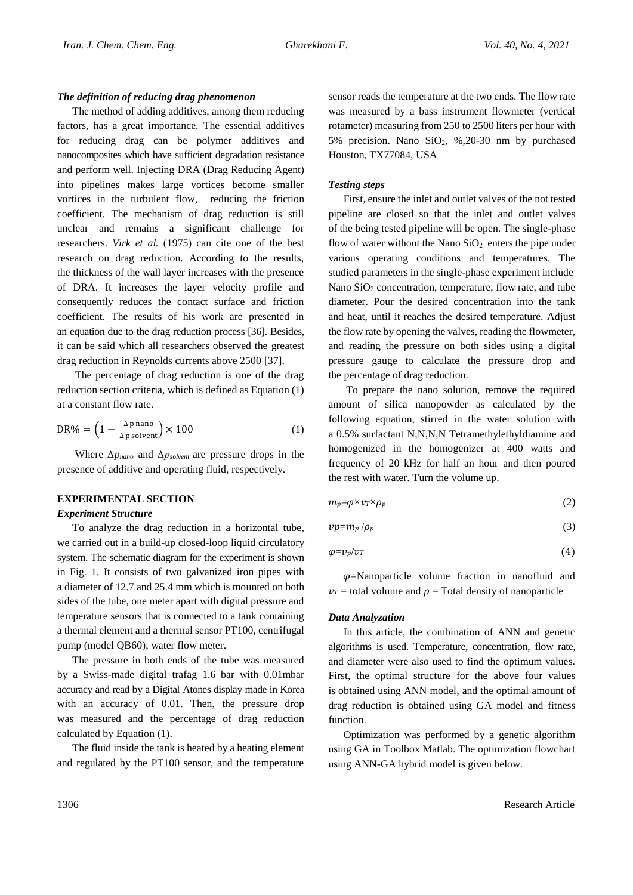## *The definition of reducing drag phenomenon*

The method of adding additives, among them reducing factors, has a great importance. The essential additives for reducing drag can be polymer additives and nanocomposites which have sufficient degradation resistance and perform well. Injecting DRA (Drag Reducing Agent) into pipelines makes large vortices become smaller vortices in the turbulent flow, reducing the friction coefficient. The mechanism of drag reduction is still unclear and remains a significant challenge for researchers. *Virk et al.* (1975) can cite one of the best research on drag reduction. According to the results, the thickness of the wall layer increases with the presence of DRA. It increases the layer velocity profile and consequently reduces the contact surface and friction coefficient. The results of his work are presented in an equation due to the drag reduction process [\[36\]](#page-10-8). Besides, it can be said which all researchers observed the greatest drag reduction in Reynolds currents above 2500 [\[37\]](#page-10-9).

The percentage of drag reduction is one of the drag reduction section criteria, which is defined as Equation (1) at a constant flow rate.

$$
DR\% = \left(1 - \frac{\Delta p \text{ nano}}{\Delta p \text{ solvent}}\right) \times 100\tag{1}
$$

Where *∆pnano* and *∆psolvent* are pressure drops in the presence of additive and operating fluid, respectively.

## **EXPERIMENTAL SECTION**

## *Experiment Structure*

To analyze the drag reduction in a horizontal tube, we carried out in a build-up closed-loop liquid circulatory system. The schematic diagram for the experiment is shown in Fig. 1. It consists of two galvanized iron pipes with a diameter of 12.7 and 25.4 mm which is mounted on both sides of the tube, one meter apart with digital pressure and temperature sensors that is connected to a tank containing a thermal element and a thermal sensor PT100, centrifugal pump (model QB60), water flow meter.

The pressure in both ends of the tube was measured by a Swiss-made digital trafag 1.6 bar with 0.01mbar accuracy and read by a Digital Atones display made in Korea with an accuracy of 0.01. Then, the pressure drop was measured and the percentage of drag reduction calculated by Equation (1).

The fluid inside the tank is heated by a heating element and regulated by the PT100 sensor, and the temperature sensor reads the temperature at the two ends. The flow rate was measured by a bass instrument flowmeter (vertical rotameter) measuring from 250 to 2500 liters per hour with 5% precision. Nano  $SiO<sub>2</sub>$ , %, 20-30 nm by purchased Houston, TX77084, USA

#### *Testing steps*

First, ensure the inlet and outlet valves of the not tested pipeline are closed so that the inlet and outlet valves of the being tested pipeline will be open. The single-phase flow of water without the Nano  $SiO<sub>2</sub>$  enters the pipe under various operating conditions and temperatures. The studied parameters in the single-phase experiment include Nano  $SiO<sub>2</sub>$  concentration, temperature, flow rate, and tube diameter. Pour the desired concentration into the tank and heat, until it reaches the desired temperature. Adjust the flow rate by opening the valves, reading the flowmeter, and reading the pressure on both sides using a digital pressure gauge to calculate the pressure drop and the percentage of drag reduction.

To prepare the nano solution, remove the required amount of silica nanopowder as calculated by the following equation, stirred in the water solution with a 0.5% surfactant N,N,N,N Tetramethylethyldiamine and homogenized in the homogenizer at 400 watts and frequency of 20 kHz for half an hour and then poured the rest with water. Turn the volume up.

$$
m_p = \varphi \times \nu_T \times \rho_p \tag{2}
$$

$$
vp = m_p / \rho_p \tag{3}
$$

$$
\varphi = \nu_p / \nu_T \tag{4}
$$

 $\varphi$ =Nanoparticle volume fraction in nanofluid and  $v_T$  = total volume and  $\rho$  = Total density of nanoparticle

#### *Data Analyzation*

In this article, the combination of ANN and genetic algorithms is used. Temperature, concentration, flow rate, and diameter were also used to find the optimum values. First, the optimal structure for the above four values is obtained using ANN model, and the optimal amount of drag reduction is obtained using GA model and fitness function.

Optimization was performed by a genetic algorithm using GA in Toolbox Matlab. The optimization flowchart using ANN-GA hybrid model is given below.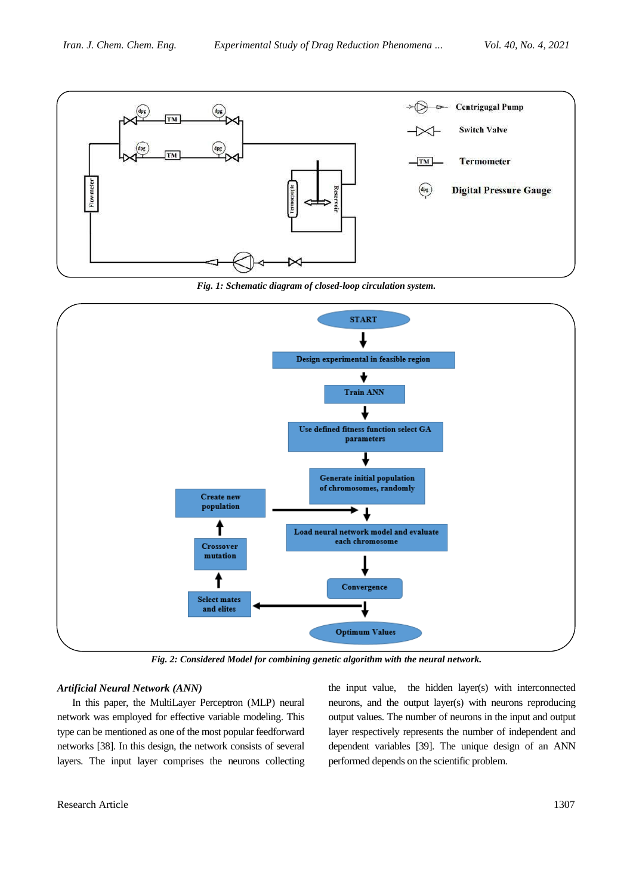

*Fig. 1: Schematic diagram of closed-loop circulation system.*



*Fig. 2: Considered Model for combining genetic algorithm with the neural network.*

#### *Artificial Neural Network (ANN)*

In this paper, the MultiLayer Perceptron (MLP) neural network was employed for effective variable modeling. This type can be mentioned as one of the most popular feedforward networks [38]. In this design, the network consists of several layers. The input layer comprises the neurons collecting the input value, the hidden layer(s) with interconnected neurons, and the output layer(s) with neurons reproducing output values. The number of neurons in the input and output layer respectively represents the number of independent and dependent variables [39]. The unique design of an ANN performed depends on the scientific problem.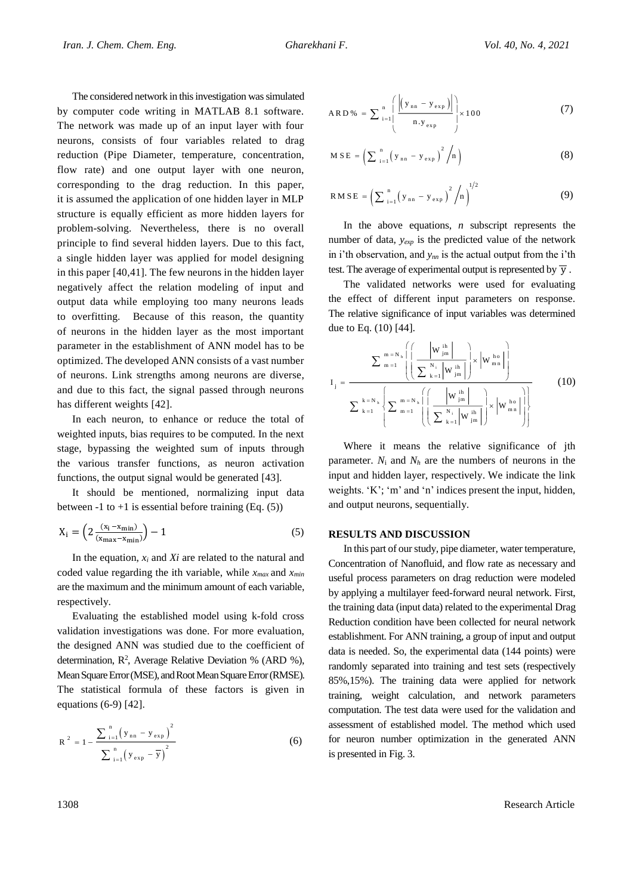The considered network in this investigation was simulated by computer code writing in MATLAB 8.1 software. The network was made up of an input layer with four neurons, consists of four variables related to drag reduction (Pipe Diameter, temperature, concentration, flow rate) and one output layer with one neuron, corresponding to the drag reduction. In this paper, it is assumed the application of one hidden layer in MLP structure is equally efficient as more hidden layers for problem-solving. Nevertheless, there is no overall principle to find several hidden layers. Due to this fact, a single hidden layer was applied for model designing in this paper [40,41]. The few neurons in the hidden layer negatively affect the relation modeling of input and output data while employing too many neurons leads to overfitting. Because of this reason, the quantity of neurons in the hidden layer as the most important parameter in the establishment of ANN model has to be optimized. The developed ANN consists of a vast number of neurons. Link strengths among neurons are diverse, and due to this fact, the signal passed through neurons has different weights [\[42\]](#page-10-10).

In each neuron, to enhance or reduce the total of weighted inputs, bias requires to be computed. In the next stage, bypassing the weighted sum of inputs through the various transfer functions, as neuron activation functions, the output signal would be generated [\[43\]](#page-10-11).

It should be mentioned, normalizing input data between -1 to +1 is essential before training  $(Eq. (5))$ 

$$
X_i = \left(2\frac{(x_i - x_{\min})}{(x_{\max} - x_{\min})}\right) - 1\tag{5}
$$

In the equation,  $x_i$  and  $Xi$  are related to the natural and coded value regarding the ith variable, while *xmax* and *xmin* are the maximum and the minimum amount of each variable, respectively.

Evaluating the established model using k-fold cross validation investigations was done. For more evaluation, the designed ANN was studied due to the coefficient of determination, R<sup>2</sup>, Average Relative Deviation % (ARD %), Mean Square Error (MSE), and Root Mean Square Error (RMSE). The statistical formula of these factors is given in equations (6-9) [\[42\]](#page-10-10).

$$
R^{2} = 1 - \frac{\sum_{i=1}^{n} (y_{nn} - y_{exp})^{2}}{\sum_{i=1}^{n} (y_{exp} - \overline{y})^{2}}
$$
(6)

$$
ARD\% = \sum_{i=1}^{n} \left( \frac{\left| (y_{nn} - y_{exp}) \right|}{n y_{exp}} \right) \times 100 \tag{7}
$$

$$
M SE = \left( \sum_{i=1}^{n} \left( y_{nn} - y_{exp} \right)^{2} / n \right)
$$
 (8)

$$
RMSE = \left(\sum_{i=1}^{n} (y_{nn} - y_{exp})^{2} / n\right)^{1/2}
$$
 (9)

In the above equations, *n* subscript represents the number of data, *yexp* is the predicted value of the network in i'th observation, and *ynn* is the actual output from the i'th test. The average of experimental output is represented by  $\overline{y}$ .

The validated networks were used for evaluating the effect of different input parameters on response. The relative significance of input variables was determined due to Eq. (10) [\[44\]](#page-10-12).

$$
I_{j} = \frac{\sum_{m=1}^{m=N_{h}} \left( \left( \frac{\left| w \right|_{jm}^{ih} \right|}{\sum_{k=1}^{N_{i}} \left| w \right|_{jm}} \right) \times \left| w \right|_{mn}^{ho} \right)}{\sum_{k=1}^{k=N_{h}} \left\{ \sum_{m=1}^{m=N_{h}} \left( \left( \frac{\left| w \right|_{jm}^{ih} \right|}{\sum_{k=1}^{N_{i}} \left| w \right|_{jm}} \right) \times \left| w \right|_{mn}^{ho} \right) \right\}}
$$
(10)

Where it means the relative significance of jth parameter.  $N_i$  and  $N_h$  are the numbers of neurons in the input and hidden layer, respectively. We indicate the link weights. 'K'; 'm' and 'n' indices present the input, hidden, and output neurons, sequentially.

#### **RESULTS AND DISCUSSION**

In this part of our study, pipe diameter, water temperature, Concentration of Nanofluid, and flow rate as necessary and useful process parameters on drag reduction were modeled by applying a multilayer feed-forward neural network. First, the training data (input data) related to the experimental Drag Reduction condition have been collected for neural network establishment. For ANN training, a group of input and output data is needed. So, the experimental data (144 points) were randomly separated into training and test sets (respectively 85%,15%). The training data were applied for network training, weight calculation, and network parameters computation. The test data were used for the validation and assessment of established model. The method which used for neuron number optimization in the generated ANN is presented in Fig. 3.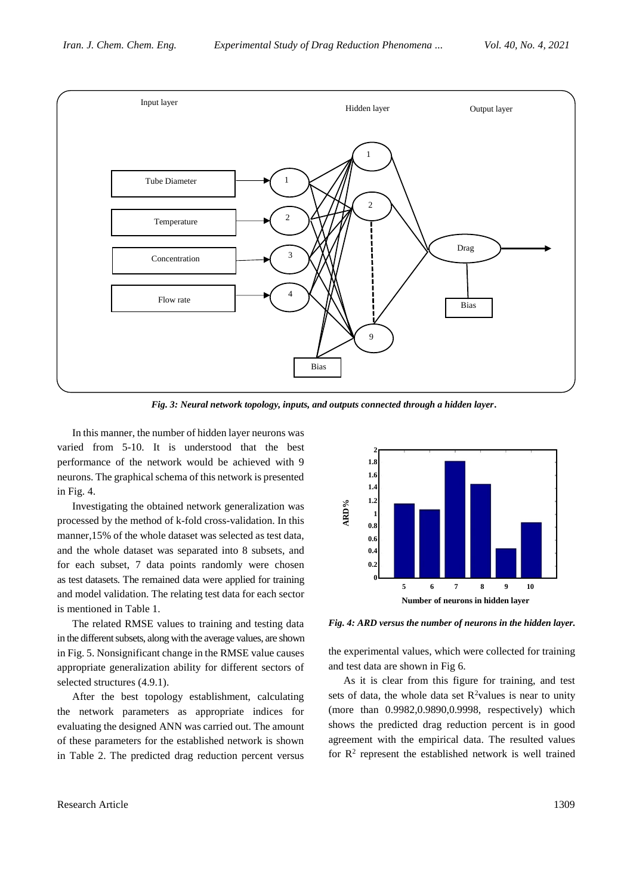

*Fig. 3: Neural network topology, inputs, and outputs connected through a hidden layer***.**

In this manner, the number of hidden layer neurons was varied from 5-10. It is understood that the best performance of the network would be achieved with 9 neurons. The graphical schema of this network is presented in Fig. 4.

Investigating the obtained network generalization was processed by the method of k-fold cross-validation. In this manner,15% of the whole dataset was selected as test data, and the whole dataset was separated into 8 subsets, and for each subset, 7 data points randomly were chosen as test datasets. The remained data were applied for training and model validation. The relating test data for each sector is mentioned in Table 1.

The related RMSE values to training and testing data in the different subsets, along with the average values, are shown in Fig. 5. Nonsignificant change in the RMSE value causes appropriate generalization ability for different sectors of selected structures (4.9.1).

After the best topology establishment, calculating the network parameters as appropriate indices for evaluating the designed ANN was carried out. The amount of these parameters for the established network is shown in Table 2. The predicted drag reduction percent versus



*Fig. 4: ARD versus the number of neurons in the hidden layer.*

the experimental values, which were collected for training and test data are shown in Fig 6.

As it is clear from this figure for training, and test sets of data, the whole data set  $R^2$ values is near to unity (more than 0.9982,0.9890,0.9998, respectively) which shows the predicted drag reduction percent is in good agreement with the empirical data. The resulted values for  $\mathbb{R}^2$  represent the established network is well trained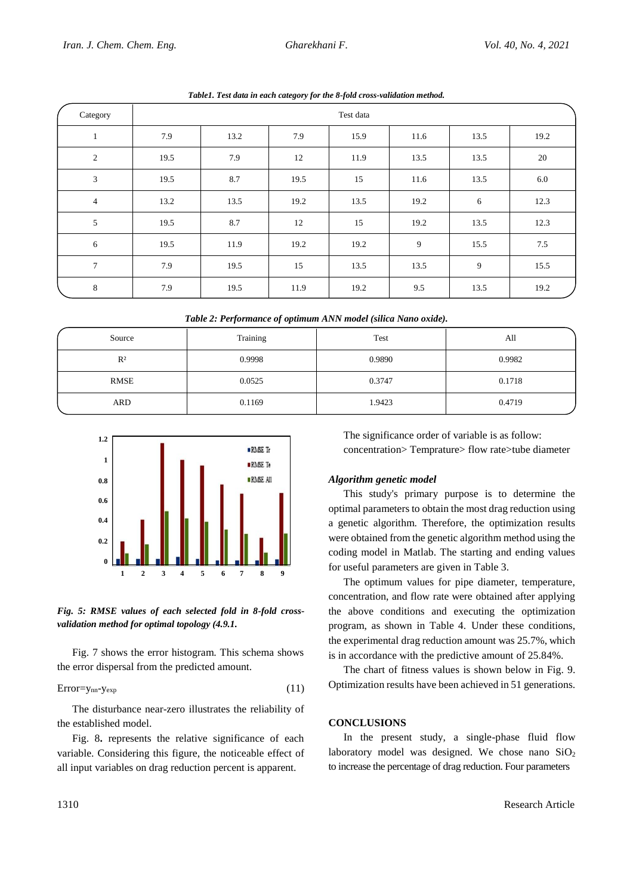| Category       | Test data |      |      |      |      |      |       |
|----------------|-----------|------|------|------|------|------|-------|
| $\mathbf{1}$   | 7.9       | 13.2 | 7.9  | 15.9 | 11.6 | 13.5 | 19.2  |
| 2              | 19.5      | 7.9  | 12   | 11.9 | 13.5 | 13.5 | 20    |
| 3              | 19.5      | 8.7  | 19.5 | 15   | 11.6 | 13.5 | 6.0   |
| $\overline{4}$ | 13.2      | 13.5 | 19.2 | 13.5 | 19.2 | 6    | 12.3  |
| 5              | 19.5      | 8.7  | 12   | 15   | 19.2 | 13.5 | 12.3  |
| 6              | 19.5      | 11.9 | 19.2 | 19.2 | 9    | 15.5 | $7.5$ |
| $\tau$         | 7.9       | 19.5 | 15   | 13.5 | 13.5 | 9    | 15.5  |
| 8              | 7.9       | 19.5 | 11.9 | 19.2 | 9.5  | 13.5 | 19.2  |

*Table1. Test data in each category for the 8-fold cross-validation method.*

| Table 2: Performance of optimum ANN model (silica Nano oxide). |  |  |  |
|----------------------------------------------------------------|--|--|--|
|----------------------------------------------------------------|--|--|--|

| Source | Training | Test   | All    |
|--------|----------|--------|--------|
| $R^2$  | 0.9998   | 0.9890 | 0.9982 |
| RMSE   | 0.0525   | 0.3747 | 0.1718 |
| ARD    | 0.1169   | 1.9423 | 0.4719 |



*Fig. 5: RMSE values of each selected fold in 8-fold crossvalidation method for optimal topology (4.9.1.*

Fig. 7 shows the error histogram. This schema shows the error dispersal from the predicted amount.

 $Error=y_{nn}-y_{exp}$  (11)

The disturbance near-zero illustrates the reliability of the established model.

Fig. 8**.** represents the relative significance of each variable. Considering this figure, the noticeable effect of all input variables on drag reduction percent is apparent.

The significance order of variable is as follow: concentration> Temprature> flow rate>tube diameter

## *Algorithm genetic model*

This study's primary purpose is to determine the optimal parameters to obtain the most drag reduction using a genetic algorithm. Therefore, the optimization results were obtained from the genetic algorithm method using the coding model in Matlab. The starting and ending values for useful parameters are given in Table 3.

The optimum values for pipe diameter, temperature, concentration, and flow rate were obtained after applying the above conditions and executing the optimization program, as shown in Table 4. Under these conditions, the experimental drag reduction amount was 25.7%, which is in accordance with the predictive amount of 25.84%.

The chart of fitness values is shown below in Fig. 9. Optimization results have been achieved in 51 generations.

## **CONCLUSIONS**

In the present study, a single-phase fluid flow laboratory model was designed. We chose nano  $SiO<sub>2</sub>$ to increase the percentage of drag reduction. Four parameters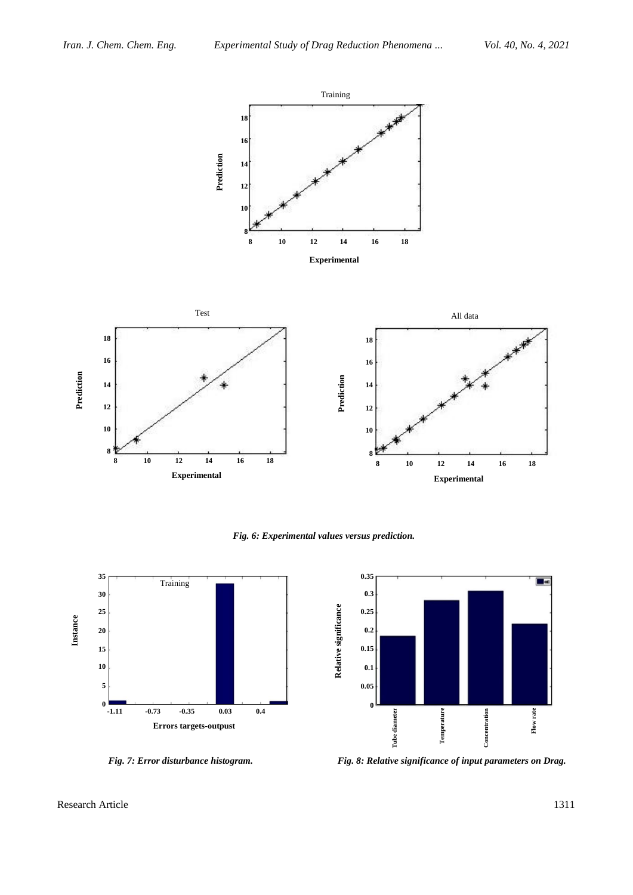

*Fig. 6: Experimental values versus prediction.*





*Fig. 7: Error disturbance histogram. Fig. 8: Relative significance of input parameters on Drag.*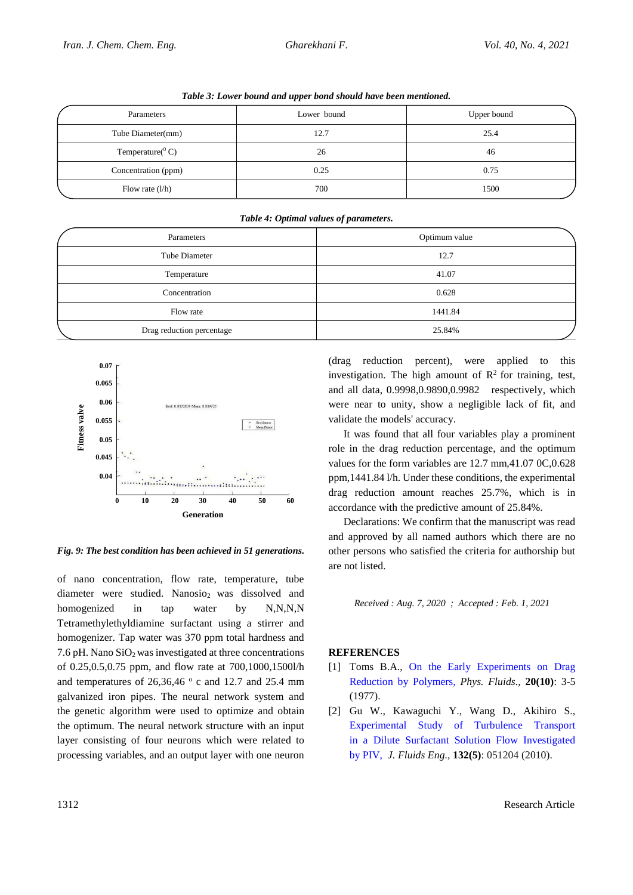| Parameters               | Lower bound | Upper bound |
|--------------------------|-------------|-------------|
| Tube Diameter(mm)        | 12.7        | 25.4        |
| Temperature( ${}^{0}$ C) | 26          | 46          |
| Concentration (ppm)      | 0.25        | 0.75        |
| Flow rate $(l/h)$        | 700         | 1500        |

*Table 4: Optimal values of parameters.*

*Table 3: Lower bound and upper bond should have been mentioned.*

|  | Parameters                | Optimum value |  |
|--|---------------------------|---------------|--|
|  | Tube Diameter             | 12.7          |  |
|  | Temperature               | 41.07         |  |
|  | Concentration             | 0.628         |  |
|  | Flow rate                 | 1441.84       |  |
|  | Drag reduction percentage | 25.84%        |  |



*Fig. 9: The best condition has been achieved in 51 generations.*

of nano concentration, flow rate, temperature, tube diameter were studied. Nanosio<sub>2</sub> was dissolved and homogenized in tap water by N,N,N,N Tetramethylethyldiamine surfactant using a stirrer and homogenizer. Tap water was 370 ppm total hardness and 7.6 pH. Nano  $SiO<sub>2</sub>$  was investigated at three concentrations of 0.25,0.5,0.75 ppm, and flow rate at 700,1000,1500l/h and temperatures of  $26,36,46$  ° c and 12.7 and 25.4 mm galvanized iron pipes. The neural network system and the genetic algorithm were used to optimize and obtain the optimum. The neural network structure with an input layer consisting of four neurons which were related to processing variables, and an output layer with one neuron

(drag reduction percent), were applied to this investigation. The high amount of  $\mathbb{R}^2$  for training, test, and all data, 0.9998,0.9890,0.9982 respectively, which were near to unity, show a negligible lack of fit, and validate the models' accuracy.

It was found that all four variables play a prominent role in the drag reduction percentage, and the optimum values for the form variables are 12.7 mm,41.07 0C,0.628 ppm,1441.84 l/h. Under these conditions, the experimental drag reduction amount reaches 25.7%, which is in accordance with the predictive amount of 25.84%.

Declarations: We confirm that the manuscript was read and approved by all named authors which there are no other persons who satisfied the criteria for authorship but are not listed.

*Received : Aug. 7, 2020 ; Accepted : Feb. 1, 2021*

## **REFERENCES**

- <span id="page-8-0"></span>[1] Toms B.A., [On the Early Experiments on Drag](https://aip.scitation.org/doi/pdf/10.1063/1.861757)  [Reduction by Polymers,](https://aip.scitation.org/doi/pdf/10.1063/1.861757) *Phys. Fluids.*, **20(10)**: 3-5 (1977).
- <span id="page-8-2"></span><span id="page-8-1"></span>[2] Gu W., Kawaguchi Y., Wang D., Akihiro S., [Experimental Study of Turbulence Transport](https://asmedigitalcollection.asme.org/fluidsengineering/article-abstract/132/5/051204/455460)  in a [Dilute Surfactant Solution Flow Investigated](https://asmedigitalcollection.asme.org/fluidsengineering/article-abstract/132/5/051204/455460)  [by PIV,](https://asmedigitalcollection.asme.org/fluidsengineering/article-abstract/132/5/051204/455460) *J. Fluids Eng.,* **132(5)**: 051204 (2010).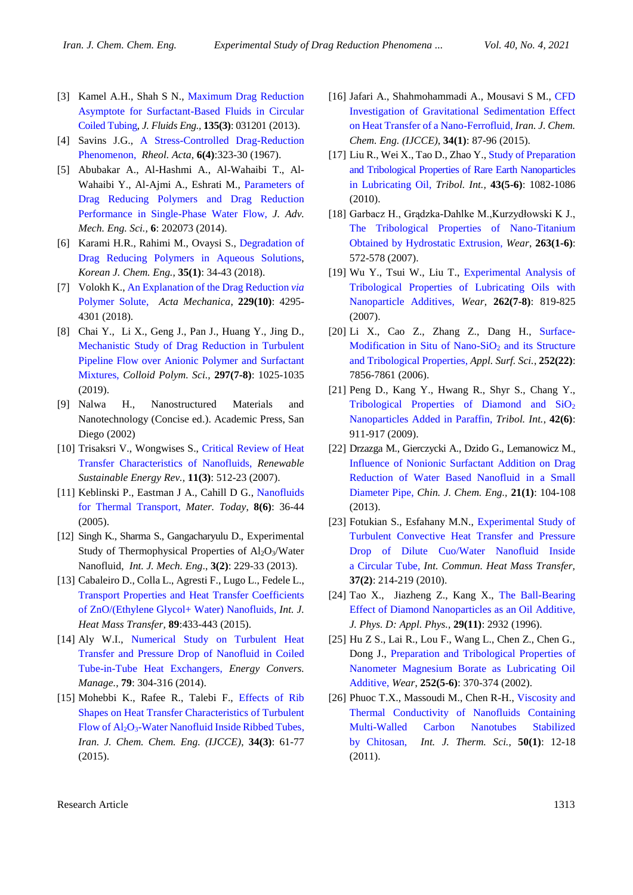- <span id="page-9-0"></span>[3] Kamel A.H., Shah S N., [Maximum Drag Reduction](https://asmedigitalcollection.asme.org/fluidsengineering/article-abstract/135/3/031201/373979/Maximum-Drag-Reduction-Asymptote-for-Surfactant)  [Asymptote for Surfactant-Based Fluids in Circular](https://asmedigitalcollection.asme.org/fluidsengineering/article-abstract/135/3/031201/373979/Maximum-Drag-Reduction-Asymptote-for-Surfactant)  [Coiled Tubing,](https://asmedigitalcollection.asme.org/fluidsengineering/article-abstract/135/3/031201/373979/Maximum-Drag-Reduction-Asymptote-for-Surfactant) *J. Fluids Eng.,* **135(3)**: 031201 (2013).
- <span id="page-9-1"></span>[4] Savins J.G., [A Stress-Controlled Drag-Reduction](https://link.springer.com/content/pdf/10.1007/BF01984629.pdf)  [Phenomenon,](https://link.springer.com/content/pdf/10.1007/BF01984629.pdf) *Rheol. Acta*, **6(4)**:323-30 (1967).
- [5] Abubakar A., Al-Hashmi A., Al-Wahaibi T., Al-Wahaibi Y., Al-Ajmi A., Eshrati M., [Parameters of](https://journals.sagepub.com/doi/abs/10.1155/2014/202073)  [Drag Reducing Polymers and Drag Reduction](https://journals.sagepub.com/doi/abs/10.1155/2014/202073)  [Performance in Single-Phase Water Flow,](https://journals.sagepub.com/doi/abs/10.1155/2014/202073) *J. Adv. Mech. Eng. Sci.,* **6**: 202073 (2014).
- <span id="page-9-2"></span>[6] Karami H.R., Rahimi M., Ovaysi S., [Degradation of](https://idp.springer.com/authorize/casa?redirect_uri=https://link.springer.com/article/10.1007/s11814-017-0264-1&casa_token=mae_p0j6J2wAAAAA:f4322zdL4RlJUD8kHGjMnQSJfmxibtfrGYjM15yh1r_PlmsQa64mjQmirclPHZGESE8kq9GlSA_e5xj_6OI)  [Drag Reducing Polymers in Aqueous Solutions,](https://idp.springer.com/authorize/casa?redirect_uri=https://link.springer.com/article/10.1007/s11814-017-0264-1&casa_token=mae_p0j6J2wAAAAA:f4322zdL4RlJUD8kHGjMnQSJfmxibtfrGYjM15yh1r_PlmsQa64mjQmirclPHZGESE8kq9GlSA_e5xj_6OI) *Korean J. Chem. Eng.,* **35(1)**: 34-43 (2018).
- [7] Volokh K., An Explanation of [the Drag Reduction](https://idp.springer.com/authorize/casa?redirect_uri=https://link.springer.com/article/10.1007/s00707-018-2206-3&casa_token=UA5hiZR_8k4AAAAA:Pm7-gWxOAT8vP8FM8lpuLTzr6ipG-OTm62DhEJpgUbkIsj1pMfx2X7E2Fh-_FLSbomyycmZJiROTGto2Ah4) *via* [Polymer Solute,](https://idp.springer.com/authorize/casa?redirect_uri=https://link.springer.com/article/10.1007/s00707-018-2206-3&casa_token=UA5hiZR_8k4AAAAA:Pm7-gWxOAT8vP8FM8lpuLTzr6ipG-OTm62DhEJpgUbkIsj1pMfx2X7E2Fh-_FLSbomyycmZJiROTGto2Ah4) *Acta Mechanica*, **229(10)**: 4295- 4301 (2018).
- [8] Chai Y., Li X., Geng J., Pan J., Huang Y., Jing D., [Mechanistic Study of Drag Reduction in Turbulent](https://idp.springer.com/authorize/casa?redirect_uri=https://link.springer.com/article/10.1007/s00396-019-04525-2&casa_token=9eaBpJW6wXwAAAAA:iOPXhOSv7iu6MZ1uaqtIOqTYR5ynh06JU0bfcIBiWwXKbWCobfLDiT6H2xJuX2nTcXtvi9_dpRgo9pjYotw)  [Pipeline Flow over Anionic Polymer and Surfactant](https://idp.springer.com/authorize/casa?redirect_uri=https://link.springer.com/article/10.1007/s00396-019-04525-2&casa_token=9eaBpJW6wXwAAAAA:iOPXhOSv7iu6MZ1uaqtIOqTYR5ynh06JU0bfcIBiWwXKbWCobfLDiT6H2xJuX2nTcXtvi9_dpRgo9pjYotw)  [Mixtures,](https://idp.springer.com/authorize/casa?redirect_uri=https://link.springer.com/article/10.1007/s00396-019-04525-2&casa_token=9eaBpJW6wXwAAAAA:iOPXhOSv7iu6MZ1uaqtIOqTYR5ynh06JU0bfcIBiWwXKbWCobfLDiT6H2xJuX2nTcXtvi9_dpRgo9pjYotw) *Colloid Polym. Sci.,* **297(7-8)**: 1025-1035 (2019).
- [9] Nalwa H., Nanostructured Materials and Nanotechnology (Concise ed.). Academic Press, San Diego (2002)
- <span id="page-9-3"></span>[10] Trisaksri V., Wongwises S., [Critical Review of Heat](https://www.sciencedirect.com/science/article/pii/S1364032105000444)  [Transfer Characteristics of Nanofluids,](https://www.sciencedirect.com/science/article/pii/S1364032105000444) *Renewable Sustainable Energy Rev.,* **11(3)**: 512-23 (2007).
- <span id="page-9-4"></span>[11] Keblinski P., Eastman J A., Cahill D G., [Nanofluids](https://www.sciencedirect.com/science/article/pii/S1369702105709366)  [for Thermal Transport,](https://www.sciencedirect.com/science/article/pii/S1369702105709366) *Mater. Today*, **8(6)**: 36-44 (2005).
- [12] Singh K., Sharma S., Gangacharyulu D., Experimental Study of Thermophysical Properties of Al<sub>2</sub>O<sub>3</sub>/Water Nanofluid, *Int. J. Mech. Eng*., **3(2)**: 229-33 (2013).
- [13] Cabaleiro D., Colla L., Agresti F., Lugo L., Fedele L., [Transport Properties and Heat Transfer Coefficients](https://www.sciencedirect.com/science/article/pii/S001793101500561X)  [of ZnO/\(Ethylene Glycol+ Water\) Nanofluids,](https://www.sciencedirect.com/science/article/pii/S001793101500561X) *Int. J. Heat Mass Transfer,* **89**:433-443 (2015).
- [14] Aly W.I., [Numerical Study on Turbulent Heat](https://www.sciencedirect.com/science/article/pii/S0196890413008078)  [Transfer and Pressure Drop of Nanofluid in Coiled](https://www.sciencedirect.com/science/article/pii/S0196890413008078)  [Tube-in-Tube Heat Exchangers,](https://www.sciencedirect.com/science/article/pii/S0196890413008078) *Energy Convers. Manage.,* **79**: 304-316 (2014).
- [15] Mohebbi K., Rafee R., Talebi F., [Effects of Rib](http://www.ijcce.ac.ir/m/article_14753.html)  [Shapes on Heat Transfer Characteristics of Turbulent](http://www.ijcce.ac.ir/m/article_14753.html)  Flow of Al<sub>2</sub>O<sub>3</sub>[-Water Nanofluid Inside Ribbed Tubes,](http://www.ijcce.ac.ir/m/article_14753.html) *Iran. J. Chem. Chem. Eng. (IJCCE)*, **34(3)**: 61-77 (2015).
- [16] Jafari A., Shahmohammadi A., Mousavi S M., [CFD](http://www.ijcce.ac.ir/article_12686.html)  [Investigation of Gravitational Sedimentation Effect](http://www.ijcce.ac.ir/article_12686.html)  [on Heat Transfer of a](http://www.ijcce.ac.ir/article_12686.html) Nano-Ferrofluid, *Iran. J. Chem. Chem. Eng. (IJCCE)*, **34(1)**: 87-96 (2015).
- <span id="page-9-5"></span>[17] Liu R., Wei X., Tao D., Zhao Y.[, Study of Preparation](https://www.sciencedirect.com/science/article/pii/S0301679X09003636)  [and Tribological Properties of Rare Earth Nanoparticles](https://www.sciencedirect.com/science/article/pii/S0301679X09003636)  [in Lubricating Oil,](https://www.sciencedirect.com/science/article/pii/S0301679X09003636) *Tribol. Int.,* **43(5-6)**: 1082-1086 (2010).
- [18] Garbacz H., Grądzka-Dahlke M.,Kurzydłowski K J., [The Tribological Properties of Nano-Titanium](https://www.sciencedirect.com/science/article/pii/S0043164807004589)  [Obtained by Hydrostatic Extrusion,](https://www.sciencedirect.com/science/article/pii/S0043164807004589) *Wear*, **263(1-6)**: 572-578 (2007).
- [19] Wu Y., Tsui W., Liu T., [Experimental Analysis of](https://www.sciencedirect.com/science/article/pii/S0043164806003292)  [Tribological Properties of Lubricating Oils with](https://www.sciencedirect.com/science/article/pii/S0043164806003292)  [Nanoparticle Additives,](https://www.sciencedirect.com/science/article/pii/S0043164806003292) *Wear*, **262(7-8)**: 819-825 (2007).
- [20] Li X., Cao Z., Zhang Z., Dang H., [Surface-](https://www.sciencedirect.com/science/article/pii/S0169433205014698)Modification in Situ of Nano-Si $O_2$  and its Structure [and Tribological Properties,](https://www.sciencedirect.com/science/article/pii/S0169433205014698) *Appl. Surf. Sci.*, **252(22)**: 7856-7861 (2006).
- [21] Peng D., Kang Y., Hwang R., Shyr S., Chang Y., [Tribological Properties of Diamond and SiO](https://www.sciencedirect.com/science/article/pii/S0301679X09000061)<sup>2</sup> [Nanoparticles Added in Paraffin,](https://www.sciencedirect.com/science/article/pii/S0301679X09000061) *Tribol. Int.*, **42(6)**: 911-917 (2009).
- [22] Drzazga M., Gierczycki A., Dzido G., Lemanowicz M., [Influence of Nonionic Surfactant Addition on Drag](https://www.sciencedirect.com/science/article/pii/S1004954113604474)  [Reduction of Water Based Nanofluid in a](https://www.sciencedirect.com/science/article/pii/S1004954113604474) Small [Diameter Pipe,](https://www.sciencedirect.com/science/article/pii/S1004954113604474) *Chin. J. Chem. Eng.,* **21(1)**: 104-108 (2013).
- [23] Fotukian S., Esfahany M.N., Experimental Study of [Turbulent Convective Heat Transfer and Pressure](https://www.sciencedirect.com/science/article/pii/S0735193309002486)  [Drop of Dilute Cuo/Water Nanofluid Inside](https://www.sciencedirect.com/science/article/pii/S0735193309002486)  a [Circular Tube,](https://www.sciencedirect.com/science/article/pii/S0735193309002486) *Int. Commun. Heat Mass Transfer,* **37(2)**: 214-219 (2010).
- <span id="page-9-6"></span>[24] Tao X., Jiazheng Z., Kang X., [The Ball-Bearing](https://iopscience.iop.org/article/10.1088/0022-3727/29/11/029/meta)  [Effect of Diamond Nanoparticles as an Oil Additive,](https://iopscience.iop.org/article/10.1088/0022-3727/29/11/029/meta) *J. Phys. D: Appl. Phys.,* **29(11)**: 2932 (1996).
- <span id="page-9-7"></span>[25] Hu Z S., Lai R., Lou F., Wang L., Chen Z., Chen G., Dong J., [Preparation and Tribological Properties of](https://www.sciencedirect.com/science/article/pii/S0043164801008626)  [Nanometer Magnesium Borate as Lubricating Oil](https://www.sciencedirect.com/science/article/pii/S0043164801008626)  [Additive,](https://www.sciencedirect.com/science/article/pii/S0043164801008626) *Wear*, **252(5-6)**: 370-374 (2002).
- <span id="page-9-9"></span><span id="page-9-8"></span>[26] Phuoc T.X., Massoudi M., Chen R-H., Viscosity and [Thermal Conductivity of Nanofluids Containing](https://www.sciencedirect.com/science/article/pii/S1290072910002619)  [Multi-Walled Carbon Nanotubes Stabilized](https://www.sciencedirect.com/science/article/pii/S1290072910002619)  [by Chitosan,](https://www.sciencedirect.com/science/article/pii/S1290072910002619) *Int. J. Therm. Sci.,* **50(1)**: 12-18 (2011).